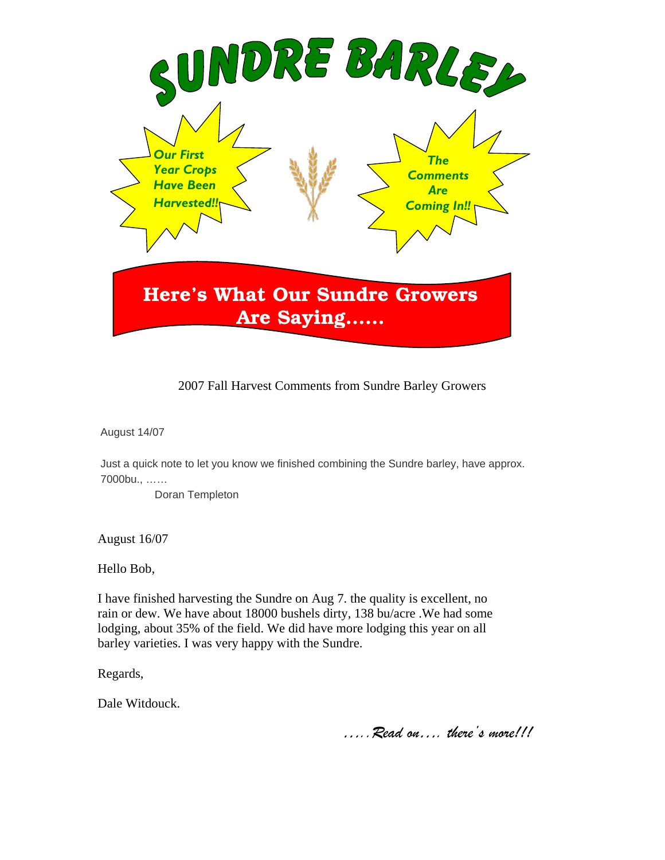

## 2007 Fall Harvest Comments from Sundre Barley Growers

August 14/07

Just a quick note to let you know we finished combining the Sundre barley, have approx. 7000bu., ……

Doran Templeton

August 16/07

Hello Bob,

I have finished harvesting the Sundre on Aug 7. the quality is excellent, no rain or dew. We have about 18000 bushels dirty, 138 bu/acre .We had some lodging, about 35% of the field. We did have more lodging this year on all barley varieties. I was very happy with the Sundre.

Regards,

Dale Witdouck.

…..Read on…. there's more!!!